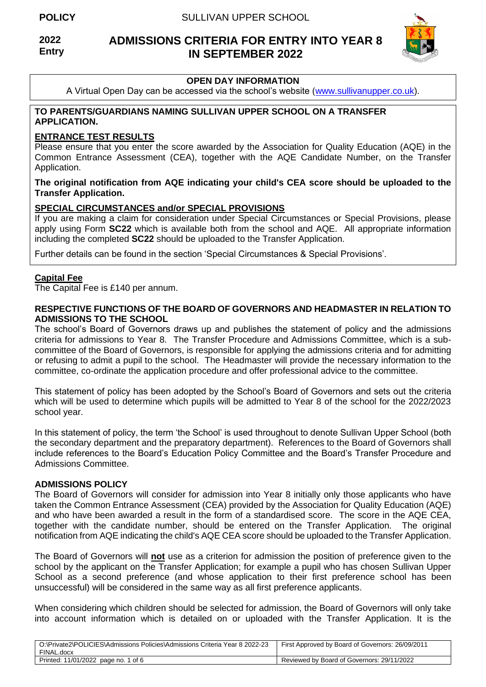**2022 Entry**

# **ADMISSIONS CRITERIA FOR ENTRY INTO YEAR 8 IN SEPTEMBER 2022**



# **OPEN DAY INFORMATION**

A Virtual Open Day can be accessed via the school's website [\(www.sullivanupper.co.uk\)](http://www.sullivanupper.co.uk/).

### **TO PARENTS/GUARDIANS NAMING SULLIVAN UPPER SCHOOL ON A TRANSFER APPLICATION.**

### **ENTRANCE TEST RESULTS**

Please ensure that you enter the score awarded by the Association for Quality Education (AQE) in the Common Entrance Assessment (CEA), together with the AQE Candidate Number, on the Transfer Application.

### **The original notification from AQE indicating your child's CEA score should be uploaded to the Transfer Application.**

### **SPECIAL CIRCUMSTANCES and/or SPECIAL PROVISIONS**

If you are making a claim for consideration under Special Circumstances or Special Provisions, please apply using Form **SC22** which is available both from the school and AQE. All appropriate information including the completed **SC22** should be uploaded to the Transfer Application.

Further details can be found in the section 'Special Circumstances & Special Provisions'.

### **Capital Fee**

The Capital Fee is £140 per annum.

### **RESPECTIVE FUNCTIONS OF THE BOARD OF GOVERNORS AND HEADMASTER IN RELATION TO ADMISSIONS TO THE SCHOOL**

The school's Board of Governors draws up and publishes the statement of policy and the admissions criteria for admissions to Year 8. The Transfer Procedure and Admissions Committee, which is a subcommittee of the Board of Governors, is responsible for applying the admissions criteria and for admitting or refusing to admit a pupil to the school. The Headmaster will provide the necessary information to the committee, co-ordinate the application procedure and offer professional advice to the committee.

This statement of policy has been adopted by the School's Board of Governors and sets out the criteria which will be used to determine which pupils will be admitted to Year 8 of the school for the 2022/2023 school year.

In this statement of policy, the term 'the School' is used throughout to denote Sullivan Upper School (both the secondary department and the preparatory department). References to the Board of Governors shall include references to the Board's Education Policy Committee and the Board's Transfer Procedure and Admissions Committee.

### **ADMISSIONS POLICY**

The Board of Governors will consider for admission into Year 8 initially only those applicants who have taken the Common Entrance Assessment (CEA) provided by the Association for Quality Education (AQE) and who have been awarded a result in the form of a standardised score. The score in the AQE CEA, together with the candidate number, should be entered on the Transfer Application. The original notification from AQE indicating the child's AQE CEA score should be uploaded to the Transfer Application.

The Board of Governors will **not** use as a criterion for admission the position of preference given to the school by the applicant on the Transfer Application; for example a pupil who has chosen Sullivan Upper School as a second preference (and whose application to their first preference school has been unsuccessful) will be considered in the same way as all first preference applicants.

When considering which children should be selected for admission, the Board of Governors will only take into account information which is detailed on or uploaded with the Transfer Application. It is the

| O:\Private2\POLICIES\Admissions Policies\Admissions Criteria Year 8 2022-23<br>FINAL.docx | First Approved by Board of Governors: 26/09/2011 |
|-------------------------------------------------------------------------------------------|--------------------------------------------------|
| Printed: 11/01/2022 page no. 1 of 6                                                       | Reviewed by Board of Governors: 29/11/2022       |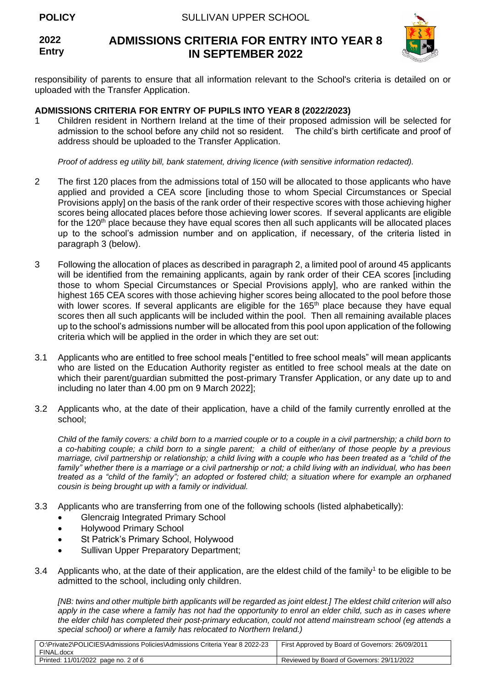#### **2022 Entry ADMISSIONS CRITERIA FOR ENTRY INTO YEAR 8 IN SEPTEMBER 2022**



responsibility of parents to ensure that all information relevant to the School's criteria is detailed on or uploaded with the Transfer Application.

## **ADMISSIONS CRITERIA FOR ENTRY OF PUPILS INTO YEAR 8 (2022/2023)**

1 Children resident in Northern Ireland at the time of their proposed admission will be selected for admission to the school before any child not so resident. The child's birth certificate and proof of address should be uploaded to the Transfer Application.

*Proof of address eg utility bill, bank statement, driving licence (with sensitive information redacted).*

- 2 The first 120 places from the admissions total of 150 will be allocated to those applicants who have applied and provided a CEA score [including those to whom Special Circumstances or Special Provisions apply] on the basis of the rank order of their respective scores with those achieving higher scores being allocated places before those achieving lower scores. If several applicants are eligible for the 120<sup>th</sup> place because they have equal scores then all such applicants will be allocated places up to the school's admission number and on application, if necessary, of the criteria listed in paragraph 3 (below).
- 3 Following the allocation of places as described in paragraph 2, a limited pool of around 45 applicants will be identified from the remaining applicants, again by rank order of their CEA scores [including] those to whom Special Circumstances or Special Provisions apply], who are ranked within the highest 165 CEA scores with those achieving higher scores being allocated to the pool before those with lower scores. If several applicants are eligible for the 165<sup>th</sup> place because they have equal scores then all such applicants will be included within the pool. Then all remaining available places up to the school's admissions number will be allocated from this pool upon application of the following criteria which will be applied in the order in which they are set out:
- 3.1 Applicants who are entitled to free school meals ["entitled to free school meals" will mean applicants who are listed on the Education Authority register as entitled to free school meals at the date on which their parent/guardian submitted the post-primary Transfer Application, or any date up to and including no later than 4.00 pm on 9 March 2022];
- 3.2 Applicants who, at the date of their application, have a child of the family currently enrolled at the school;

*Child of the family covers: a child born to a married couple or to a couple in a civil partnership; a child born to a co-habiting couple; a child born to a single parent; a child of either/any of those people by a previous marriage, civil partnership or relationship; a child living with a couple who has been treated as a "child of the*  family" whether there is a marriage or a civil partnership or not; a child living with an individual, who has been *treated as a "child of the family"; an adopted or fostered child; a situation where for example an orphaned cousin is being brought up with a family or individual.* 

- 3.3 Applicants who are transferring from one of the following schools (listed alphabetically):
	- Glencraig Integrated Primary School
	- Holywood Primary School
	- St Patrick's Primary School, Holywood
	- Sullivan Upper Preparatory Department;
- 3.4 Applicants who, at the date of their application, are the eldest child of the family<sup>1</sup> to be eligible to be admitted to the school, including only children.

*[NB: twins and other multiple birth applicants will be regarded as joint eldest.] The eldest child criterion will also*  apply in the case where a family has not had the opportunity to enrol an elder child, such as in cases where *the elder child has completed their post-primary education, could not attend mainstream school (eg attends a special school) or where a family has relocated to Northern Ireland.)*

| O:\Private2\POLICIES\Admissions Policies\Admissions Criteria Year 8 2022-23 | First Approved by Board of Governors: 26/09/2011 |
|-----------------------------------------------------------------------------|--------------------------------------------------|
| FINAL.docx                                                                  |                                                  |
| Printed: 11/01/2022 page no. 2 of 6                                         | Reviewed by Board of Governors: 29/11/2022       |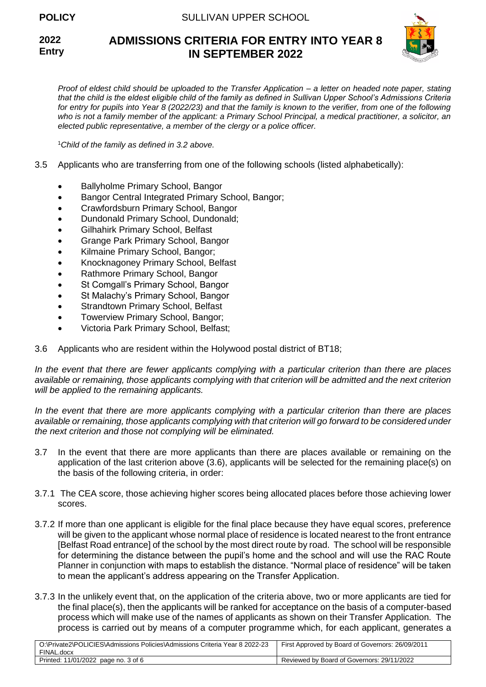**2022 Entry**

# **ADMISSIONS CRITERIA FOR ENTRY INTO YEAR 8 IN SEPTEMBER 2022**



*Proof of eldest child should be uploaded to the Transfer Application – a letter on headed note paper, stating that the child is the eldest eligible child of the family as defined in Sullivan Upper School's Admissions Criteria for entry for pupils into Year 8 (2022/23) and that the family is known to the verifier, from one of the following who is not a family member of the applicant: a Primary School Principal, a medical practitioner, a solicitor, an elected public representative, a member of the clergy or a police officer.* 

<sup>1</sup>*Child of the family as defined in 3.2 above.*

- 3.5 Applicants who are transferring from one of the following schools (listed alphabetically):
	- Ballyholme Primary School, Bangor
	- Bangor Central Integrated Primary School, Bangor;
	- Crawfordsburn Primary School, Bangor
	- Dundonald Primary School, Dundonald;
	- Gilhahirk Primary School, Belfast
	- Grange Park Primary School, Bangor
	- Kilmaine Primary School, Bangor;
	- Knocknagoney Primary School, Belfast
	- Rathmore Primary School, Bangor
	- St Comgall's Primary School, Bangor
	- St Malachy's Primary School, Bangor
	- Strandtown Primary School, Belfast
	- Towerview Primary School, Bangor;
	- Victoria Park Primary School, Belfast;
- 3.6 Applicants who are resident within the Holywood postal district of BT18;

*In the event that there are fewer applicants complying with a particular criterion than there are places available or remaining, those applicants complying with that criterion will be admitted and the next criterion will be applied to the remaining applicants.*

*In the event that there are more applicants complying with a particular criterion than there are places available or remaining, those applicants complying with that criterion will go forward to be considered under the next criterion and those not complying will be eliminated.*

- 3.7 In the event that there are more applicants than there are places available or remaining on the application of the last criterion above (3.6), applicants will be selected for the remaining place(s) on the basis of the following criteria, in order:
- 3.7.1 The CEA score, those achieving higher scores being allocated places before those achieving lower scores.
- 3.7.2 If more than one applicant is eligible for the final place because they have equal scores, preference will be given to the applicant whose normal place of residence is located nearest to the front entrance [Belfast Road entrance] of the school by the most direct route by road. The school will be responsible for determining the distance between the pupil's home and the school and will use the RAC Route Planner in conjunction with maps to establish the distance. "Normal place of residence" will be taken to mean the applicant's address appearing on the Transfer Application.
- 3.7.3 In the unlikely event that, on the application of the criteria above, two or more applicants are tied for the final place(s), then the applicants will be ranked for acceptance on the basis of a computer-based process which will make use of the names of applicants as shown on their Transfer Application. The process is carried out by means of a computer programme which, for each applicant, generates a

| O:\Private2\POLICIES\Admissions Policies\Admissions Criteria Year 8 2022-23<br>FINAL.docx | First Approved by Board of Governors: 26/09/2011 |
|-------------------------------------------------------------------------------------------|--------------------------------------------------|
| Printed: 11/01/2022 page no. 3 of 6                                                       | Reviewed by Board of Governors: 29/11/2022       |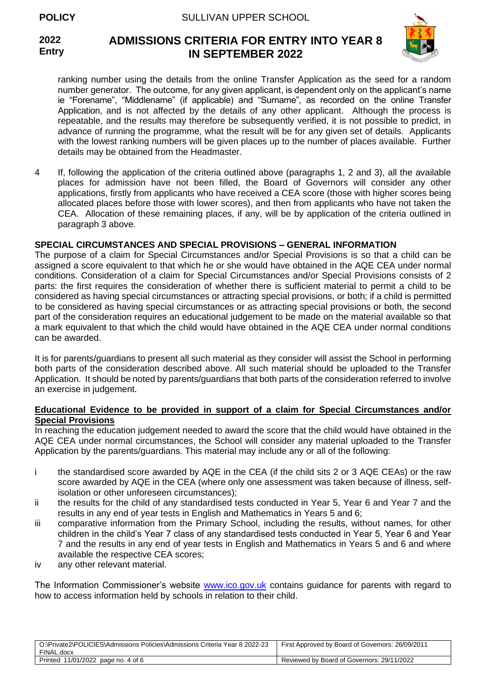**2022 Entry**



# **ADMISSIONS CRITERIA FOR ENTRY INTO YEAR 8 IN SEPTEMBER 2022**

ranking number using the details from the online Transfer Application as the seed for a random number generator. The outcome, for any given applicant, is dependent only on the applicant's name ie "Forename", "Middlename" (if applicable) and "Surname", as recorded on the online Transfer Application, and is not affected by the details of any other applicant. Although the process is repeatable, and the results may therefore be subsequently verified, it is not possible to predict, in advance of running the programme, what the result will be for any given set of details. Applicants with the lowest ranking numbers will be given places up to the number of places available. Further details may be obtained from the Headmaster.

4 If, following the application of the criteria outlined above (paragraphs 1, 2 and 3), all the available places for admission have not been filled, the Board of Governors will consider any other applications, firstly from applicants who have received a CEA score (those with higher scores being allocated places before those with lower scores), and then from applicants who have not taken the CEA. Allocation of these remaining places, if any, will be by application of the criteria outlined in paragraph 3 above.

# **SPECIAL CIRCUMSTANCES AND SPECIAL PROVISIONS – GENERAL INFORMATION**

The purpose of a claim for Special Circumstances and/or Special Provisions is so that a child can be assigned a score equivalent to that which he or she would have obtained in the AQE CEA under normal conditions. Consideration of a claim for Special Circumstances and/or Special Provisions consists of 2 parts: the first requires the consideration of whether there is sufficient material to permit a child to be considered as having special circumstances or attracting special provisions, or both; if a child is permitted to be considered as having special circumstances or as attracting special provisions or both, the second part of the consideration requires an educational judgement to be made on the material available so that a mark equivalent to that which the child would have obtained in the AQE CEA under normal conditions can be awarded.

It is for parents/guardians to present all such material as they consider will assist the School in performing both parts of the consideration described above. All such material should be uploaded to the Transfer Application. It should be noted by parents/guardians that both parts of the consideration referred to involve an exercise in judgement.

### **Educational Evidence to be provided in support of a claim for Special Circumstances and/or Special Provisions**

In reaching the education judgement needed to award the score that the child would have obtained in the AQE CEA under normal circumstances, the School will consider any material uploaded to the Transfer Application by the parents/guardians. This material may include any or all of the following:

- i the standardised score awarded by AQE in the CEA (if the child sits 2 or 3 AQE CEAs) or the raw score awarded by AQE in the CEA (where only one assessment was taken because of illness, selfisolation or other unforeseen circumstances);
- ii the results for the child of any standardised tests conducted in Year 5, Year 6 and Year 7 and the results in any end of year tests in English and Mathematics in Years 5 and 6;
- iii comparative information from the Primary School, including the results, without names, for other children in the child's Year 7 class of any standardised tests conducted in Year 5, Year 6 and Year 7 and the results in any end of year tests in English and Mathematics in Years 5 and 6 and where available the respective CEA scores;
- iv any other relevant material.

The Information Commissioner's website [www.ico.gov.uk](http://www.ico.gov.uk/) contains guidance for parents with regard to how to access information held by schools in relation to their child.

| O:\Private2\POLICIES\Admissions Policies\Admissions Criteria Year 8 2022-23 | First Approved by Board of Governors: 26/09/2011 |
|-----------------------------------------------------------------------------|--------------------------------------------------|
| FINAL.docx                                                                  |                                                  |
| Printed: 11/01/2022 page no. 4 of 6                                         | Reviewed by Board of Governors: 29/11/2022       |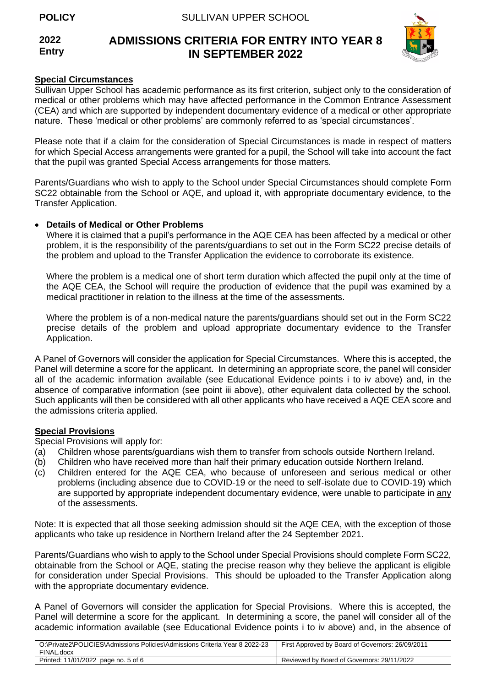#### **2022 Entry ADMISSIONS CRITERIA FOR ENTRY INTO YEAR 8 IN SEPTEMBER 2022**



# **Special Circumstances**

Sullivan Upper School has academic performance as its first criterion, subject only to the consideration of medical or other problems which may have affected performance in the Common Entrance Assessment (CEA) and which are supported by independent documentary evidence of a medical or other appropriate nature. These 'medical or other problems' are commonly referred to as 'special circumstances'.

Please note that if a claim for the consideration of Special Circumstances is made in respect of matters for which Special Access arrangements were granted for a pupil, the School will take into account the fact that the pupil was granted Special Access arrangements for those matters.

Parents/Guardians who wish to apply to the School under Special Circumstances should complete Form SC22 obtainable from the School or AQE, and upload it, with appropriate documentary evidence, to the Transfer Application.

# • **Details of Medical or Other Problems**

Where it is claimed that a pupil's performance in the AQE CEA has been affected by a medical or other problem, it is the responsibility of the parents/guardians to set out in the Form SC22 precise details of the problem and upload to the Transfer Application the evidence to corroborate its existence.

Where the problem is a medical one of short term duration which affected the pupil only at the time of the AQE CEA, the School will require the production of evidence that the pupil was examined by a medical practitioner in relation to the illness at the time of the assessments.

Where the problem is of a non-medical nature the parents/guardians should set out in the Form SC22 precise details of the problem and upload appropriate documentary evidence to the Transfer Application.

A Panel of Governors will consider the application for Special Circumstances. Where this is accepted, the Panel will determine a score for the applicant. In determining an appropriate score, the panel will consider all of the academic information available (see Educational Evidence points i to iv above) and, in the absence of comparative information (see point iii above), other equivalent data collected by the school. Such applicants will then be considered with all other applicants who have received a AQE CEA score and the admissions criteria applied.

# **Special Provisions**

Special Provisions will apply for:

- (a) Children whose parents/guardians wish them to transfer from schools outside Northern Ireland.
- (b) Children who have received more than half their primary education outside Northern Ireland.
- (c) Children entered for the AQE CEA, who because of unforeseen and serious medical or other problems (including absence due to COVID-19 or the need to self-isolate due to COVID-19) which are supported by appropriate independent documentary evidence, were unable to participate in any of the assessments.

Note: It is expected that all those seeking admission should sit the AQE CEA, with the exception of those applicants who take up residence in Northern Ireland after the 24 September 2021.

Parents/Guardians who wish to apply to the School under Special Provisions should complete Form SC22, obtainable from the School or AQE, stating the precise reason why they believe the applicant is eligible for consideration under Special Provisions. This should be uploaded to the Transfer Application along with the appropriate documentary evidence.

A Panel of Governors will consider the application for Special Provisions. Where this is accepted, the Panel will determine a score for the applicant. In determining a score, the panel will consider all of the academic information available (see Educational Evidence points i to iv above) and, in the absence of

| O:\Private2\POLICIES\Admissions Policies\Admissions Criteria Year 8 2022-23<br>FINAL.docx | First Approved by Board of Governors: 26/09/2011 |
|-------------------------------------------------------------------------------------------|--------------------------------------------------|
| Printed: 11/01/2022 page no. 5 of 6                                                       | Reviewed by Board of Governors: 29/11/2022       |